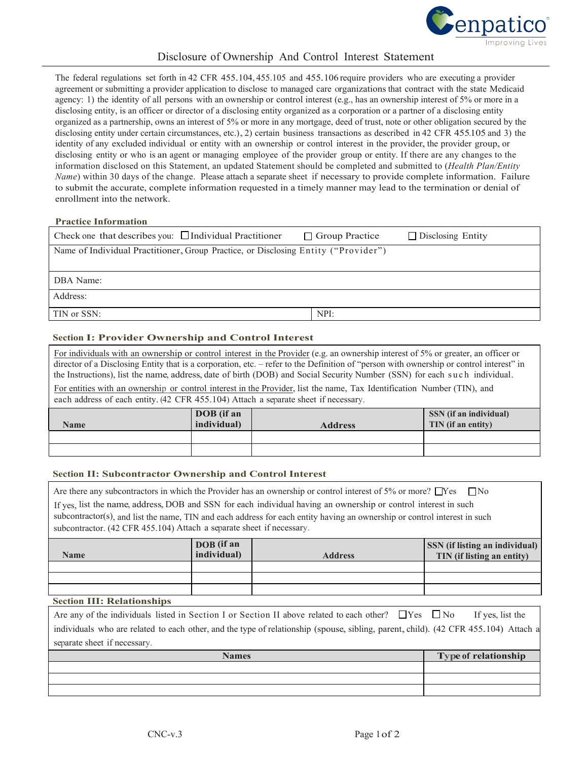

# Disclosure of Ownership And Control Interest Statement

The federal regulations set forth in <sup>42</sup> CFR 455.104, 455.105 and 455.106 require providers who are executing <sup>a</sup> provider agreement or submitting a provider application to disclose to managed care organizationsthat contract with the state Medicaid agency: 1) the identity of all persons with an ownership or control interest (e.g., has an ownership interest of 5% or more in a disclosing entity, is an officer or director of a disclosing entity organized as a corporation or a partner of a disclosing entity organized as a partnership, owns an interest of 5% or more in any mortgage, deed of trust, note or other obligation secured by the disclosing entity under certain circumstances, etc.), 2) certain business transactions as described in <sup>42</sup> CFR 455.105 and 3) the identity of any excluded individual or entity with an ownership or control interest in the provider, the provider group, or disclosing entity or who is an agent or managing employee of the provider group or entity. If there are any changes to the information disclosed on this Statement, an updated Statement should be completed and submitted to (*Health Plan/Entity Name*) within 30 days of the change. Please attach a separate sheet if necessary to provide complete information. Failure to submit the accurate, complete information requested in a timely manner may lead to the termination or denial of enrollment into the network.

#### **Practice Information**

| Check one that describes you: $\Box$ Individual Practitioner                       | $\Box$ Group Practice | $\Box$ Disclosing Entity |
|------------------------------------------------------------------------------------|-----------------------|--------------------------|
| Name of Individual Practitioner, Group Practice, or Disclosing Entity ("Provider") |                       |                          |
|                                                                                    |                       |                          |
| DBA Name:                                                                          |                       |                          |
| Address:                                                                           |                       |                          |
| TIN or SSN:                                                                        | NPI:                  |                          |

### **Section I: Provider Ownership and Control Interest**

For individuals with an ownership or control interest in the Provider (e.g. an ownership interest of 5% or greater, an officer or director of a Disclosing Entity that is a corporation, etc. – refer to the Definition of "person with ownership or control interest" in the Instructions), list the name, address, date of birth (DOB) and Social Security Number (SSN) for each such individual.

For entities with an ownership or control interest in the Provider, list the name, Tax Identification Number (TIN), and each address of each entity.(42 CFR 455.104) Attach a separate sheet if necessary.

| <b>Name</b> | DOB (if an<br>individual) | <b>Address</b> | SSN (if an individual)<br>TIN (if an entity) |
|-------------|---------------------------|----------------|----------------------------------------------|
|             |                           |                |                                              |
|             |                           |                |                                              |

#### **Section II: Subcontractor Ownership and Control Interest**

| Are there any subcontractors in which the Provider has an ownership or control interest of 5% or more? $\Box$ Yes $\Box$ No |
|-----------------------------------------------------------------------------------------------------------------------------|
| If yes, list the name, address, DOB and SSN for each individual having an ownership or control interest in such             |
| subcontractor(s), and list the name, TIN and each address for each entity having an ownership or control interest in such   |
| subcontractor. (42 CFR 455.104) Attach a separate sheet if necessary.                                                       |

| <b>Name</b> | DOB (if an<br>individual) | <b>Address</b> | <b>SSN</b> (if listing an individual)<br>TIN (if listing an entity) |
|-------------|---------------------------|----------------|---------------------------------------------------------------------|
|             |                           |                |                                                                     |
|             |                           |                |                                                                     |
|             |                           |                |                                                                     |

#### **Section III: Relationships**

Are any of the individuals listed in Section I or Section II above related to each other?  $\Box$  Yes  $\Box$  No If yes, list the individuals who are related to each other, and the type of relationship (spouse, sibling, parent, child). (42 CFR 455.104) Attach a separate sheet if necessary.

| <b>Names</b> | Type of relationship |
|--------------|----------------------|
|              |                      |
|              |                      |
|              |                      |